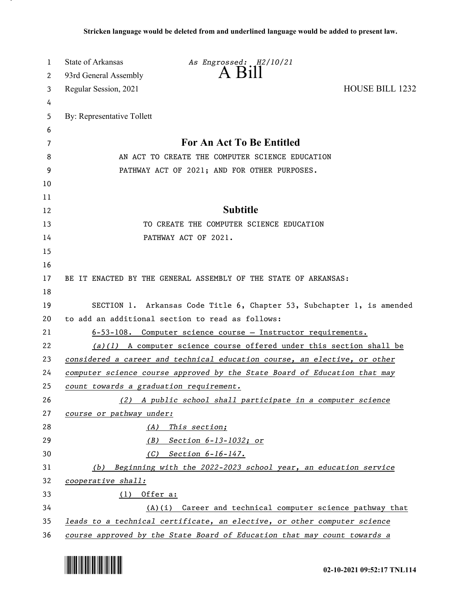| 1  | State of Arkansas                                | As Engrossed: H2/10/21                                                    |                        |  |
|----|--------------------------------------------------|---------------------------------------------------------------------------|------------------------|--|
| 2  | 93rd General Assembly                            | $A$ $B1II$                                                                |                        |  |
| 3  | Regular Session, 2021                            |                                                                           | <b>HOUSE BILL 1232</b> |  |
| 4  |                                                  |                                                                           |                        |  |
| 5  | By: Representative Tollett                       |                                                                           |                        |  |
| 6  |                                                  |                                                                           |                        |  |
| 7  |                                                  | For An Act To Be Entitled                                                 |                        |  |
| 8  |                                                  | AN ACT TO CREATE THE COMPUTER SCIENCE EDUCATION                           |                        |  |
| 9  |                                                  | PATHWAY ACT OF 2021; AND FOR OTHER PURPOSES.                              |                        |  |
| 10 |                                                  |                                                                           |                        |  |
| 11 |                                                  |                                                                           |                        |  |
| 12 |                                                  | <b>Subtitle</b>                                                           |                        |  |
| 13 |                                                  | TO CREATE THE COMPUTER SCIENCE EDUCATION                                  |                        |  |
| 14 |                                                  | PATHWAY ACT OF 2021.                                                      |                        |  |
| 15 |                                                  |                                                                           |                        |  |
| 16 |                                                  |                                                                           |                        |  |
| 17 |                                                  | BE IT ENACTED BY THE GENERAL ASSEMBLY OF THE STATE OF ARKANSAS:           |                        |  |
| 18 |                                                  |                                                                           |                        |  |
| 19 |                                                  | SECTION 1. Arkansas Code Title 6, Chapter 53, Subchapter 1, is amended    |                        |  |
| 20 | to add an additional section to read as follows: |                                                                           |                        |  |
| 21 |                                                  | 6-53-108. Computer science course - Instructor requirements.              |                        |  |
| 22 |                                                  | $(a)(1)$ A computer science course offered under this section shall be    |                        |  |
| 23 |                                                  | considered a career and technical education course, an elective, or other |                        |  |
| 24 |                                                  | computer science course approved by the State Board of Education that may |                        |  |
| 25 | count towards a graduation requirement.          |                                                                           |                        |  |
| 26 |                                                  | (2) A public school shall participate in a computer science               |                        |  |
| 27 | course or pathway under:                         |                                                                           |                        |  |
| 28 |                                                  | (A) This section;                                                         |                        |  |
| 29 | (B)                                              | Section 6-13-1032; or                                                     |                        |  |
| 30 | (C)                                              | Section 6-16-147.                                                         |                        |  |
| 31 |                                                  | (b) Beginning with the 2022-2023 school year, an education service        |                        |  |
| 32 | cooperative shall:                               |                                                                           |                        |  |
| 33 | $(1)$ Offer a:                                   |                                                                           |                        |  |
| 34 |                                                  | $(A)(i)$ Career and technical computer science pathway that               |                        |  |
| 35 |                                                  | leads to a technical certificate, an elective, or other computer science  |                        |  |
| 36 |                                                  | course approved by the State Board of Education that may count towards a  |                        |  |

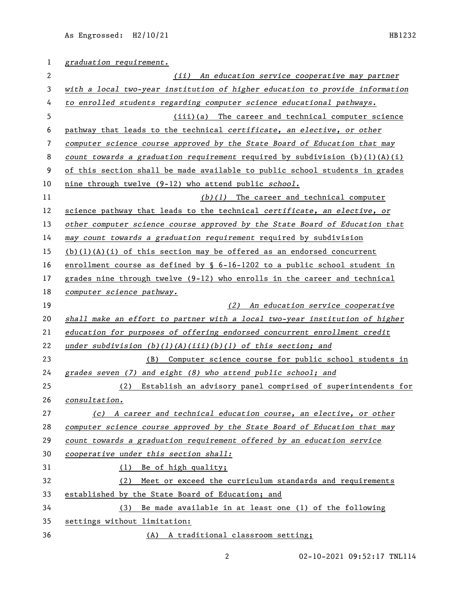| 1  | graduation requirement.                                                       |  |  |
|----|-------------------------------------------------------------------------------|--|--|
| 2  | (ii) An education service cooperative may partner                             |  |  |
| 3  | with a local two-year institution of higher education to provide information  |  |  |
| 4  | to enrolled students regarding computer science educational pathways.         |  |  |
| 5  | (iii)(a) The career and technical computer science                            |  |  |
| 6  | pathway that leads to the technical certificate, an elective, or other        |  |  |
| 7  | computer science course approved by the State Board of Education that may     |  |  |
| 8  | count towards a graduation requirement required by subdivision $(b)(1)(A)(i)$ |  |  |
| 9  | of this section shall be made available to public school students in grades   |  |  |
| 10 | nine through twelve (9-12) who attend public school.                          |  |  |
| 11 | $(b)(1)$ The career and technical computer                                    |  |  |
| 12 | science pathway that leads to the technical certificate, an elective, or      |  |  |
| 13 | other computer science course approved by the State Board of Education that   |  |  |
| 14 | may count towards a graduation requirement required by subdivision            |  |  |
| 15 | $(b)(1)(A)(i)$ of this section may be offered as an endorsed concurrent       |  |  |
| 16 | enrollment course as defined by $\S$ 6-16-1202 to a public school student in  |  |  |
| 17 | grades nine through twelve (9-12) who enrolls in the career and technical     |  |  |
| 18 | computer science pathway.                                                     |  |  |
| 19 | (2) An education service cooperative                                          |  |  |
| 20 | shall make an effort to partner with a local two-year institution of higher   |  |  |
| 21 | education for purposes of offering endorsed concurrent enrollment credit      |  |  |
| 22 | under subdivision $(b)(1)(A)(iii)(b)(1)$ of this section; and                 |  |  |
| 23 | (B) Computer science course for public school students in                     |  |  |
| 24 | grades seven (7) and eight (8) who attend public school; and                  |  |  |
| 25 | (2) Establish an advisory panel comprised of superintendents for              |  |  |
| 26 | consultation.                                                                 |  |  |
| 27 | (c) A career and technical education course, an elective, or other            |  |  |
| 28 | computer science course approved by the State Board of Education that may     |  |  |
| 29 | count towards a graduation requirement offered by an education service        |  |  |
| 30 | cooperative under this section shall:                                         |  |  |
| 31 | (1) Be of high quality;                                                       |  |  |
| 32 | (2) Meet or exceed the curriculum standards and requirements                  |  |  |
| 33 | established by the State Board of Education; and                              |  |  |
| 34 | (3) Be made available in at least one (1) of the following                    |  |  |
| 35 | settings without limitation:                                                  |  |  |
| 36 | (A) A traditional classroom setting;                                          |  |  |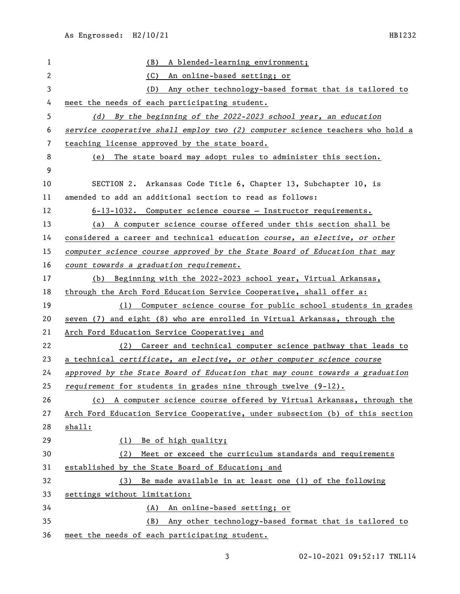| $\mathbf{1}$   | A blended-learning environment;<br>(B)                                        |  |  |
|----------------|-------------------------------------------------------------------------------|--|--|
| $\overline{2}$ | (C)<br>An online-based setting; or                                            |  |  |
| $\mathsf 3$    | Any other technology-based format that is tailored to<br>(D)                  |  |  |
| 4              | meet the needs of each participating student.                                 |  |  |
| 5              | (d) By the beginning of the 2022-2023 school year, an education               |  |  |
| 6              | service cooperative shall employ two (2) computer science teachers who hold a |  |  |
| 7              | teaching license approved by the state board.                                 |  |  |
| 8              | (e) The state board may adopt rules to administer this section.               |  |  |
| 9              |                                                                               |  |  |
| 10             | SECTION 2. Arkansas Code Title 6, Chapter 13, Subchapter 10, is               |  |  |
| 11             | amended to add an additional section to read as follows:                      |  |  |
| 12             | 6-13-1032. Computer science course - Instructor requirements.                 |  |  |
| 13             | (a) A computer science course offered under this section shall be             |  |  |
| 14             | considered a career and technical education course, an elective, or other     |  |  |
| 15             | computer science course approved by the State Board of Education that may     |  |  |
| 16             | count towards a graduation requirement.                                       |  |  |
| 17             | Beginning with the 2022-2023 school year, Virtual Arkansas,<br>(b)            |  |  |
| 18             | through the Arch Ford Education Service Cooperative, shall offer a:           |  |  |
| 19             | Computer science course for public school students in grades<br>(1)           |  |  |
| 20             | seven (7) and eight (8) who are enrolled in Virtual Arkansas, through the     |  |  |
| 21             | Arch Ford Education Service Cooperative; and                                  |  |  |
| 22             | (2) Career and technical computer science pathway that leads to               |  |  |
| 23             | a technical certificate, an elective, or other computer science course        |  |  |
| 24             | approved by the State Board of Education that may count towards a graduation  |  |  |
| 25             | requirement for students in grades nine through twelve (9-12).                |  |  |
| 26             | (c) A computer science course offered by Virtual Arkansas, through the        |  |  |
| 27             | Arch Ford Education Service Cooperative, under subsection (b) of this section |  |  |
| 28             | shall:                                                                        |  |  |
| 29             | (1) Be of high quality;                                                       |  |  |
| 30             | Meet or exceed the curriculum standards and requirements<br>(2)               |  |  |
| 31             | established by the State Board of Education; and                              |  |  |
| 32             | Be made available in at least one (1) of the following<br>(3)                 |  |  |
| 33             | settings without limitation:                                                  |  |  |
| 34             | (A) An online-based setting; or                                               |  |  |
| 35             | Any other technology-based format that is tailored to<br>(B)                  |  |  |
| 36             | meet the needs of each participating student.                                 |  |  |